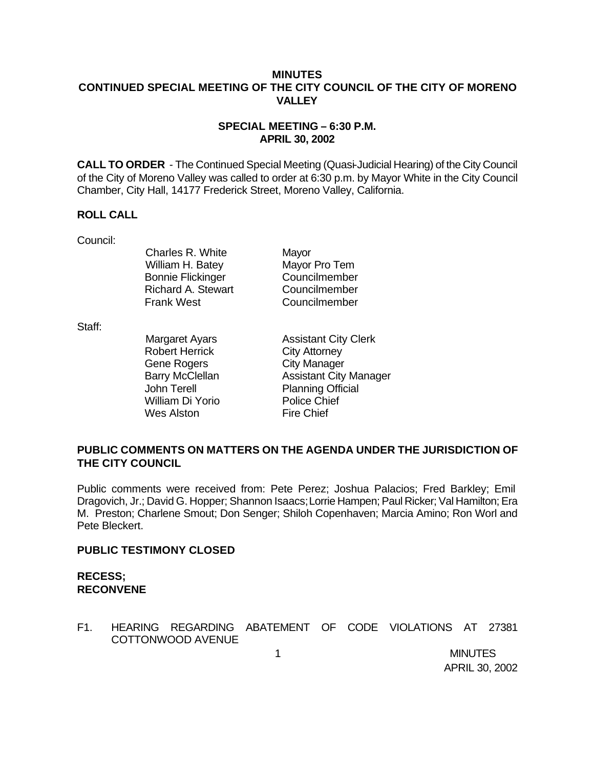## **MINUTES CONTINUED SPECIAL MEETING OF THE CITY COUNCIL OF THE CITY OF MORENO VALLEY**

#### **SPECIAL MEETING – 6:30 P.M. APRIL 30, 2002**

**CALL TO ORDER** - The Continued Special Meeting (Quasi-Judicial Hearing) of the City Council of the City of Moreno Valley was called to order at 6:30 p.m. by Mayor White in the City Council Chamber, City Hall, 14177 Frederick Street, Moreno Valley, California.

#### **ROLL CALL**

Council:

Charles R. White Mayor William H. Batey Mayor Pro Tem Bonnie Flickinger Councilmember Richard A. Stewart Councilmember Frank West Councilmember

Staff:

Robert Herrick City Attorney Gene Rogers City Manager John Terell Planning Official William Di Yorio Police Chief Wes Alston Fire Chief

Margaret Ayars **Assistant City Clerk** Barry McClellan **Assistant City Manager** 

## **PUBLIC COMMENTS ON MATTERS ON THE AGENDA UNDER THE JURISDICTION OF THE CITY COUNCIL**

Public comments were received from: Pete Perez; Joshua Palacios; Fred Barkley; Emil Dragovich, Jr.; David G. Hopper; Shannon Isaacs; Lorrie Hampen; Paul Ricker; Val Hamilton; Era M. Preston; Charlene Smout; Don Senger; Shiloh Copenhaven; Marcia Amino; Ron Worl and Pete Bleckert.

## **PUBLIC TESTIMONY CLOSED**

# **RECESS; RECONVENE**

F1. HEARING REGARDING ABATEMENT OF CODE VIOLATIONS AT 27381 COTTONWOOD AVENUE

 1 MINUTES APRIL 30, 2002